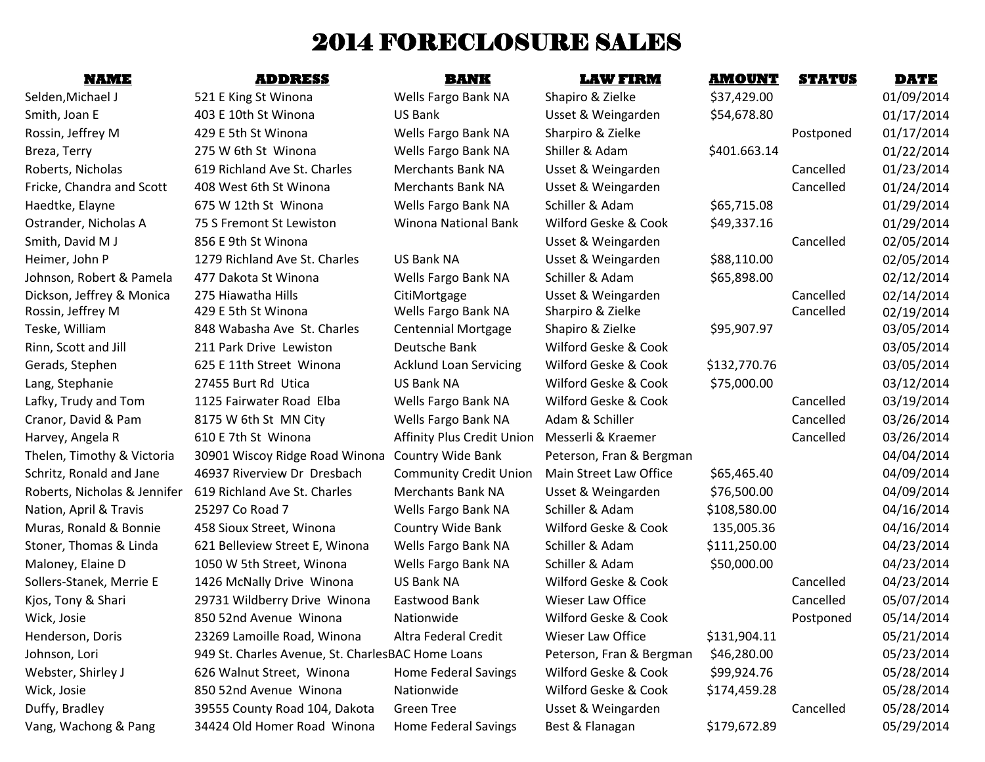# 2014 FORECLOSURE SALES

# Vang, Wachong & Pang 34424 Old Homer Road Winona Home Federal Savings Best & Flanagan \$179,672.89 05/29/2014

Selden,Michael J 521 E King St Winona Wells Fargo Bank NA Shapiro & Zielke \$37,429.00 61/09/2014 Smith, Joan E 403 E 10th St Winona US Bank Usset & Weingarden \$54,678.80 01/17/2014 Rossin, Jeffrey M 429 E 5th St Winona Wells Fargo Bank NA Sharpiro & Zielke Postponed 01/17/2014 Breza, Terry **19. In the Contract Constructs** Shiller & Adam 5401.663.14 01/22/2014 Roberts, Nicholas 619 Richland Ave St. Charles Merchants Bank NA Usset & Weingarden Cancelled 01/23/2014 Fricke, Chandra and Scott 408 West 6th St Winona Merchants Bank NA Usset & Weingarden Cancelled 01/24/2014 Haedtke, Elayne 675 W 12th St Winona Wells Fargo Bank NA Schiller & Adam 565,715.08 01/29/2014 Ostrander, Nicholas A 75 S Fremont St Lewiston Winona National Bank Wilford Geske & Cook \$49,337.16 01/29/2014 Smith, David M J 856 E 9th St Winona Cancelled 02/05/2014 Heimer, John P 1279 Richland Ave St. Charles US Bank NA Usset & Weingarden \$88,110.00 02/05/2014 Johnson, Robert & Pamela 477 Dakota St Winona Wells Fargo Bank NA Schiller & Adam \$65,898.00 02/12/2014 Dickson, Jeffrey & Monica 275 Hiawatha Hills CitiMortgage Usset & Weingarden Cancelled 02/14/2014 Rossin, Jeffrey M 429 E 5th St Winona Wells Fargo Bank NA Sharpiro & Zielke Cancelled 02/19/2014 Teske, William 248 Wabasha Ave St. Charles Centennial Mortgage Shapiro & Zielke \$95,907.97 03/05/2014 Rinn, Scott and Jill 211 Park Drive Lewiston Deutsche Bank Wilford Geske & Cook 03/05/2014 Gerads, Stephen 625 E 11th Street Winona Acklund Loan Servicing Wilford Geske & Cook \$132,770.76 03/05/2014 Lang, Stephanie 27455 Burt Rd Utica US Bank NA Wilford Geske & Cook \$75,000.00 03/12/2014 Lafky, Trudy and Tom 1125 Fairwater Road Elba Wells Fargo Bank NA Wilford Geske & Cook Cancelled 03/19/2014 Cranor, David & Pam 8175 W 6th St MN City Nells Fargo Bank NA Adam & Schiller Cancelled 03/26/2014 Harvey, Angela R 610 E 7th St Winona **Affinity Plus Credit Union Messerli & Kraemer** Cancelled 03/26/2014 Thelen, Timothy & Victoria 30901 Wiscoy Ridge Road Winona Country Wide Bank Peterson, Fran & Bergman 04/04/2014 Schritz, Ronald and Jane 46937 Riverview Dr Dresbach Community Credit Union Main Street Law Office \$65,465.40 04/09/2014 Roberts, Nicholas & Jennifer 619 Richland Ave St. Charles Merchants Bank NA Usset & Weingarden \$76,500.00 04/09/2014 Nation, April & Travis and 25297 Co Road 7 The Mells Fargo Bank NA Schiller & Adam \$108,580.00 64/16/2014 Muras, Ronald & Bonnie 458 Sioux Street, Winona Country Wide Bank Wilford Geske & Cook 135,005.36 04/16/2014 Stoner, Thomas & Linda 621 Belleview Street E, Winona Wells Fargo Bank NA Schiller & Adam \$111,250.00 04/23/2014 Maloney, Elaine D 1050 W 5th Street, Winona Wells Fargo Bank NA Schiller & Adam 550,000.00 04/23/2014 Sollers-Stanek, Merrie E 1426 McNally Drive Winona US Bank NA Wilford Geske & Cook Cancelled 04/23/2014 Kjos, Tony & Shari 29731 Wildberry Drive Winona Eastwood Bank Wieser Law Office Cancelled 05/07/2014 Wick, Josie 250 52nd Avenue Winona Nationwide Wilford Geske & Cook Postponed 05/14/2014 Henderson, Doris 23269 Lamoille Road, Winona Altra Federal Credit Wieser Law Office \$131,904.11 05/21/2014 Johnson, Lori 949 St. Charles Avenue, St. CharlesBAC Home Loans Peterson, Fran & Bergman \$46,280.00 05/23/2014 Webster, Shirley J 626 Walnut Street, Winona Home Federal Savings Wilford Geske & Cook \$99,924.76 05/28/2014 Wick, Josie 1986 850 52nd Avenue Winona Nationwide 1986 Wilford Geske & Cook 5174,459.28 65/28/2014 Duffy, Bradley **39555 County Road 104, Dakota** Green Tree Usset & Weingarden Cancelled 05/28/2014

**NAME ADDRESS BANK LAW FIRM AMOUNT STATUS DATE**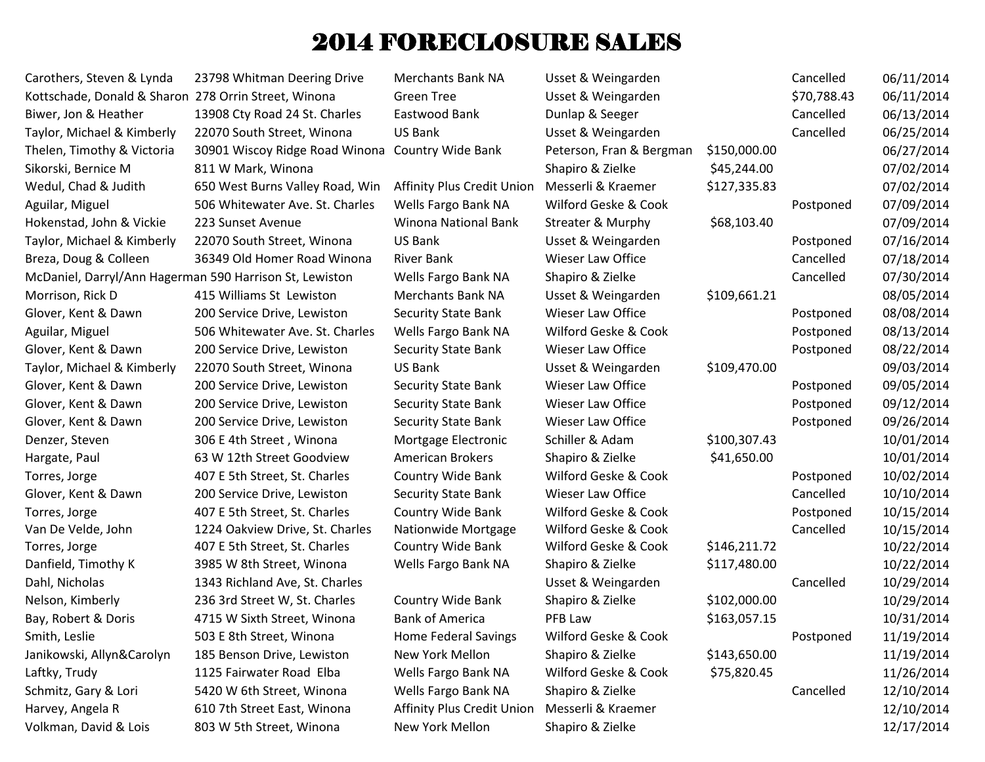## 2014 FORECLOSURE SALES

Volkman, David & Lois 803 W 5th Street, Winona New York Mellon Shapiro & Zielke 12/17/2014

Carothers, Steven & Lynda 23798 Whitman Deering Drive Merchants Bank NA Usset & Weingarden Cancelled 06/11/2014 Kottschade, Donald & Sharon 278 Orrin Street, Winona Green Tree Usset & Weingarden 570,788.43 06/11/2014 Biwer, Jon & Heather 13908 Cty Road 24 St. Charles Eastwood Bank Dunlap & Seeger Cancelled 06/13/2014 Taylor, Michael & Kimberly 22070 South Street, Winona US Bank Usset & Weingarden Cancelled 06/25/2014 Thelen, Timothy & Victoria 30901 Wiscoy Ridge Road Winona Country Wide Bank Peterson, Fran & Bergman \$150,000.00 06/27/2014 Sikorski, Bernice M 811 W Mark, Winona Narka, Shapiro & Zielke \$45,244.00 07/02/2014 Wedul, Chad & Judith 650 West Burns Valley Road, Win Affinity Plus Credit Union Messerli & Kraemer \$127,335.83 07/02/2014 Aguilar, Miguel 506 Whitewater Ave. St. Charles Wells Fargo Bank NA Wilford Geske & Cook Postponed 07/09/2014 Hokenstad, John & Vickie 223 Sunset Avenue Winona National Bank Streater & Murphy \$68,103.40 07/09/2014 Taylor, Michael & Kimberly 22070 South Street, Winona US Bank Usset & Weingarden Postponed 07/16/2014 Breza, Doug & Colleen and 36349 Old Homer Road Winona River Bank Wieser Law Office Cancelled and Cancelled 07/18/2014 McDaniel, Darryl/Ann Hagerman 590 Harrison St, Lewiston Wells Fargo Bank NA Shapiro & Zielke Cancelled 07/30/2014 Morrison, Rick D 415 Williams St Lewiston Merchants Bank NA Usset & Weingarden \$109,661.21 08/05/2014 Glover, Kent & Dawn 200 Service Drive, Lewiston Security State Bank Wieser Law Office Postponed 08/08/2014 Aguilar, Miguel 68/13/2014 506 Whitewater Ave. St. Charles Wells Fargo Bank NA Wilford Geske & Cook Postponed 08/13/2014 Glover, Kent & Dawn 200 Service Drive, Lewiston Security State Bank Wieser Law Office Postponed 08/22/2014 Taylor, Michael & Kimberly 22070 South Street, Winona US Bank Usset & Weingarden \$109,470.00 09/03/2014 Glover, Kent & Dawn 200 Service Drive, Lewiston Security State Bank Wieser Law Office Postponed 09/05/2014 Glover, Kent & Dawn 200 Service Drive, Lewiston Security State Bank Wieser Law Office Postponed 09/12/2014 Glover, Kent & Dawn 200 Service Drive, Lewiston Security State Bank Wieser Law Office Postponed 09/26/2014 Denzer, Steven 306 E 4th Street , Winona Mortgage Electronic Schiller & Adam \$100,307.43 10/01/2014 Hargate, Paul 63 W 12th Street Goodview American Brokers Shapiro & Zielke \$41,650.00 541,650.00 10/01/2014 Torres, Jorge 2012 E 5th Street, St. Charles Country Wide Bank Wilford Geske & Cook Postponed 10/02/2014 Glover, Kent & Dawn 200 Service Drive, Lewiston Security State Bank Wieser Law Office Cancelled 10/10/2014 Torres, Jorge 207E 5th Street, St. Charles Country Wide Bank Wilford Geske & Cook Postponed 10/15/2014 Van De Velde, John 1224 Oakview Drive, St. Charles Nationwide Mortgage Wilford Geske & Cook Cancelled 10/15/2014 Torres, Jorge 2012 407 E 5th Street, St. Charles Country Wide Bank Wilford Geske & Cook \$146,211.72 10/22/2014 Danfield, Timothy K 3985 W 8th Street, Winona Wells Fargo Bank NA Shapiro & Zielke \$117,480.00 10/22/2014 Dahl, Nicholas 2013/2014 1343 Richland Ave, St. Charles 2014 10/29/2014 Usset & Weingarden Cancelled 10/29/2014 Nelson, Kimberly 236 3rd Street W, St. Charles Country Wide Bank Shapiro & Zielke \$102,000.00 10/29/2014 Bay, Robert & Doris **4715 W Sixth Street, Winona** Bank of America PFB Law \$163,057.15 10/31/2014 Smith, Leslie 503 E 8th Street, Winona Home Federal Savings Wilford Geske & Cook Postponed 11/19/2014 Janikowski, Allyn&Carolyn 185 Benson Drive, Lewiston New York Mellon Shapiro & Zielke \$143,650.00 11/19/2014 Laftky, Trudy 1125 Fairwater Road Elba Wells Fargo Bank NA Wilford Geske & Cook \$75,820.45 11/26/2014 Schmitz, Gary & Lori 5420 W 6th Street, Winona Wells Fargo Bank NA Shapiro & Zielke Cancelled 12/10/2014 Harvey, Angela R 610 7th Street East, Winona Affinity Plus Credit Union Messerli & Kraemer 1897 12/10/2014